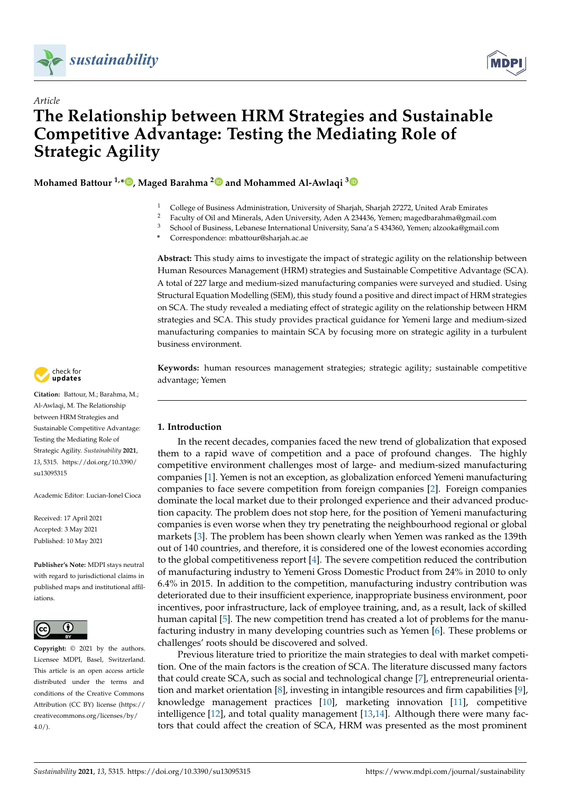



# *Article* **The Relationship between HRM Strategies and Sustainable Competitive Advantage: Testing the Mediating Role of Strategic Agility**

**Mohamed Battour 1,[\\*](https://orcid.org/0000-0003-1700-6487) , Maged Barahma [2](https://orcid.org/0000-0001-7320-239X) and Mohammed Al-Awlaqi [3](https://orcid.org/0000-0003-0405-0841)**

- <sup>1</sup> College of Business Administration, University of Sharjah, Sharjah 27272, United Arab Emirates
- <sup>2</sup> Faculty of Oil and Minerals, Aden University, Aden A 234436, Yemen; magedbarahma@gmail.com<br><sup>3</sup> School of Puriners, Laborate International University Senate S42420, Yemen also also @gmail.com

<sup>3</sup> School of Business, Lebanese International University, Sana'a S 434360, Yemen; alzooka@gmail.com

**\*** Correspondence: mbattour@sharjah.ac.ae

**Abstract:** This study aims to investigate the impact of strategic agility on the relationship between Human Resources Management (HRM) strategies and Sustainable Competitive Advantage (SCA). A total of 227 large and medium-sized manufacturing companies were surveyed and studied. Using Structural Equation Modelling (SEM), this study found a positive and direct impact of HRM strategies on SCA. The study revealed a mediating effect of strategic agility on the relationship between HRM strategies and SCA. This study provides practical guidance for Yemeni large and medium-sized manufacturing companies to maintain SCA by focusing more on strategic agility in a turbulent business environment.

**Keywords:** human resources management strategies; strategic agility; sustainable competitive advantage; Yemen

# <span id="page-0-0"></span>**1. Introduction**

In the recent decades, companies faced the new trend of globalization that exposed them to a rapid wave of competition and a pace of profound changes. The highly competitive environment challenges most of large- and medium-sized manufacturing companies [\[1\]](#page-11-0). Yemen is not an exception, as globalization enforced Yemeni manufacturing companies to face severe competition from foreign companies [\[2\]](#page-11-1). Foreign companies dominate the local market due to their prolonged experience and their advanced production capacity. The problem does not stop here, for the position of Yemeni manufacturing companies is even worse when they try penetrating the neighbourhood regional or global markets [\[3\]](#page-11-2). The problem has been shown clearly when Yemen was ranked as the 139th out of 140 countries, and therefore, it is considered one of the lowest economies according to the global competitiveness report [\[4\]](#page-11-3). The severe competition reduced the contribution of manufacturing industry to Yemeni Gross Domestic Product from 24% in 2010 to only 6.4% in 2015. In addition to the competition, manufacturing industry contribution was deteriorated due to their insufficient experience, inappropriate business environment, poor incentives, poor infrastructure, lack of employee training, and, as a result, lack of skilled human capital [\[5\]](#page-11-4). The new competition trend has created a lot of problems for the manufacturing industry in many developing countries such as Yemen [\[6\]](#page-11-5). These problems or challenges' roots should be discovered and solved.

Previous literature tried to prioritize the main strategies to deal with market competition. One of the main factors is the creation of SCA. The literature discussed many factors that could create SCA, such as social and technological change [\[7\]](#page-11-6), entrepreneurial orientation and market orientation [\[8\]](#page-11-7), investing in intangible resources and firm capabilities [\[9\]](#page-11-8), knowledge management practices [\[10\]](#page-11-9), marketing innovation [\[11\]](#page-11-10), competitive intelligence [\[12\]](#page-11-11), and total quality management [\[13,](#page-12-0)[14\]](#page-12-1). Although there were many factors that could affect the creation of SCA, HRM was presented as the most prominent



**Citation:** Battour, M.; Barahma, M.; Al-Awlaqi, M. The Relationship between HRM Strategies and Sustainable Competitive Advantage: Testing the Mediating Role of Strategic Agility. *Sustainability* **2021**, *13*, 5315. [https://doi.org/10.3390/](https://doi.org/10.3390/su13095315) [su13095315](https://doi.org/10.3390/su13095315)

Academic Editor: Lucian-Ionel Cioca

Received: 17 April 2021 Accepted: 3 May 2021 Published: 10 May 2021

**Publisher's Note:** MDPI stays neutral with regard to jurisdictional claims in published maps and institutional affiliations.



**Copyright:** © 2021 by the authors. Licensee MDPI, Basel, Switzerland. This article is an open access article distributed under the terms and conditions of the Creative Commons Attribution (CC BY) license (https:/[/](https://creativecommons.org/licenses/by/4.0/) [creativecommons.org/licenses/by/](https://creativecommons.org/licenses/by/4.0/)  $4.0/$ ).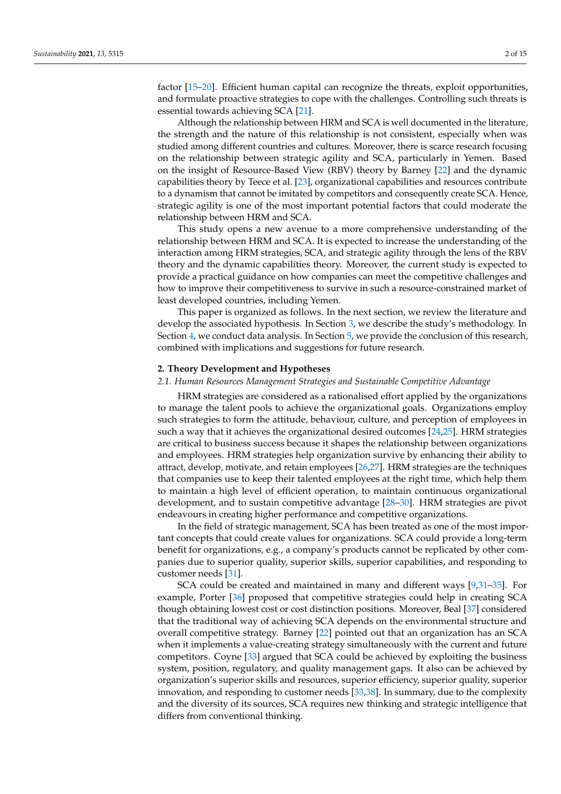factor [\[15–](#page-12-2)[20\]](#page-12-3). Efficient human capital can recognize the threats, exploit opportunities, and formulate proactive strategies to cope with the challenges. Controlling such threats is essential towards achieving SCA [\[21\]](#page-12-4).

Although the relationship between HRM and SCA is well documented in the literature, the strength and the nature of this relationship is not consistent, especially when was studied among different countries and cultures. Moreover, there is scarce research focusing on the relationship between strategic agility and SCA, particularly in Yemen. Based on the insight of Resource-Based View (RBV) theory by Barney [\[22\]](#page-12-5) and the dynamic capabilities theory by Teece et al. [\[23\]](#page-12-6), organizational capabilities and resources contribute to a dynamism that cannot be imitated by competitors and consequently create SCA. Hence, strategic agility is one of the most important potential factors that could moderate the relationship between HRM and SCA.

This study opens a new avenue to a more comprehensive understanding of the relationship between HRM and SCA. It is expected to increase the understanding of the interaction among HRM strategies, SCA, and strategic agility through the lens of the RBV theory and the dynamic capabilities theory. Moreover, the current study is expected to provide a practical guidance on how companies can meet the competitive challenges and how to improve their competitiveness to survive in such a resource-constrained market of least developed countries, including Yemen.

This paper is organized as follows. In the next section, we review the literature and develop the associated hypothesis. In Section [3,](#page-4-0) we describe the study's methodology. In Section [4,](#page-6-0) we conduct data analysis. In Section [5,](#page-10-0) we provide the conclusion of this research, combined with implications and suggestions for future research.

# <span id="page-1-0"></span>**2. Theory Development and Hypotheses**

## *2.1. Human Resources Management Strategies and Sustainable Competitive Advantage*

HRM strategies are considered as a rationalised effort applied by the organizations to manage the talent pools to achieve the organizational goals. Organizations employ such strategies to form the attitude, behaviour, culture, and perception of employees in such a way that it achieves the organizational desired outcomes [\[24](#page-12-7)[,25\]](#page-12-8). HRM strategies are critical to business success because it shapes the relationship between organizations and employees. HRM strategies help organization survive by enhancing their ability to attract, develop, motivate, and retain employees [\[26](#page-12-9)[,27\]](#page-12-10). HRM strategies are the techniques that companies use to keep their talented employees at the right time, which help them to maintain a high level of efficient operation, to maintain continuous organizational development, and to sustain competitive advantage [\[28](#page-12-11)[–30\]](#page-12-12). HRM strategies are pivot endeavours in creating higher performance and competitive organizations.

In the field of strategic management, SCA has been treated as one of the most important concepts that could create values for organizations. SCA could provide a long-term benefit for organizations, e.g., a company's products cannot be replicated by other companies due to superior quality, superior skills, superior capabilities, and responding to customer needs [\[31\]](#page-12-13).

SCA could be created and maintained in many and different ways [\[9,](#page-11-8)[31–](#page-12-13)[35\]](#page-12-14). For example, Porter [\[36\]](#page-12-15) proposed that competitive strategies could help in creating SCA though obtaining lowest cost or cost distinction positions. Moreover, Beal [\[37\]](#page-12-16) considered that the traditional way of achieving SCA depends on the environmental structure and overall competitive strategy. Barney [\[22\]](#page-12-5) pointed out that an organization has an SCA when it implements a value-creating strategy simultaneously with the current and future competitors. Coyne [\[33\]](#page-12-17) argued that SCA could be achieved by exploiting the business system, position, regulatory, and quality management gaps. It also can be achieved by organization's superior skills and resources, superior efficiency, superior quality, superior innovation, and responding to customer needs [\[33,](#page-12-17)[38\]](#page-12-18). In summary, due to the complexity and the diversity of its sources, SCA requires new thinking and strategic intelligence that differs from conventional thinking.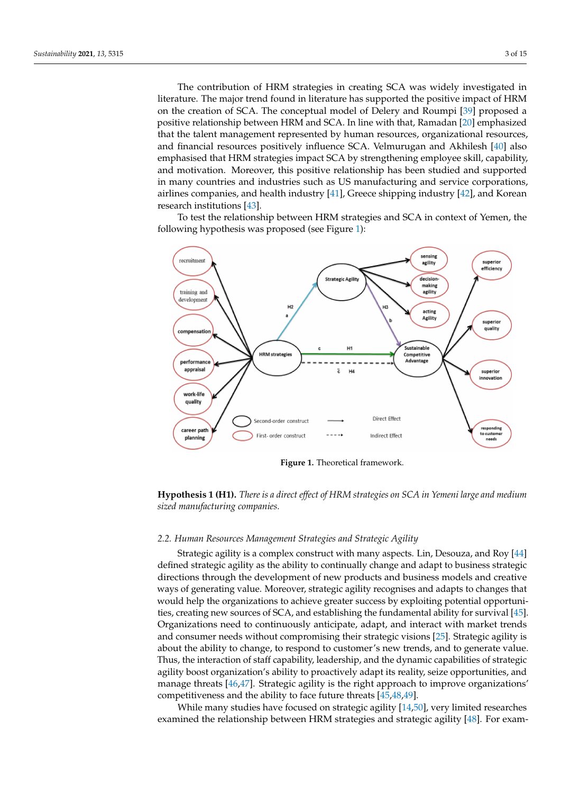The contribution of HRM strategies in creating SCA was widely investigated in literature. The major trend found in literature has supported the positive impact of HRM on the creation of SCA. The conceptual model of Delery and Roumpi [\[39\]](#page-12-19) proposed a positive relationship between HRM and SCA. In line with that, Ramadan [\[20\]](#page-12-3) emphasized that the talent management represented by human resources, organizational resources, and financial resources positively influence SCA. Velmurugan and Akhilesh [\[40\]](#page-12-20) also emphasised that HRM strategies impact SCA by strengthening employee skill, capability, and motivation. Moreover, this positive relationship has been studied and supported in many countries and industries such as US manufacturing and service corporations, airlines companies, and health industry [\[41\]](#page-12-21), Greece shipping industry [\[42\]](#page-12-22), and Korean research institutions [\[43\]](#page-12-23).

To test the relationship between HRM strategies and SCA in context of Yemen, the following hypothesis was proposed (see Figure [1\)](#page-2-0):

<span id="page-2-0"></span>

**Figure 1.** Theoretical framework.



#### *2.2. Human Resources Management Strategies and Strategic Agility*

Strategic agility is a complex construct with many aspects. Lin, Desouza, and Roy [\[44\]](#page-13-0) defined strategic agility as the ability to continually change and adapt to business strategic directions through the development of new products and business models and creative ways of generating value. Moreover, strategic agility recognises and adapts to changes that would help the organizations to achieve greater success by exploiting potential opportunities, creating new sources of SCA, and establishing the fundamental ability for survival [\[45\]](#page-13-1). Organizations need to continuously anticipate, adapt, and interact with market trends and consumer needs without compromising their strategic visions [\[25\]](#page-12-8). Strategic agility is about the ability to change, to respond to customer's new trends, and to generate value. Thus, the interaction of staff capability, leadership, and the dynamic capabilities of strategic agility boost organization's ability to proactively adapt its reality, seize opportunities, and manage threats [\[46](#page-13-2)[,47\]](#page-13-3). Strategic agility is the right approach to improve organizations' competitiveness and the ability to face future threats [\[45,](#page-13-1)[48,](#page-13-4)[49\]](#page-13-5).

While many studies have focused on strategic agility [\[14,](#page-12-1)[50\]](#page-13-6), very limited researches examined the relationship between HRM strategies and strategic agility [\[48\]](#page-13-4). For exam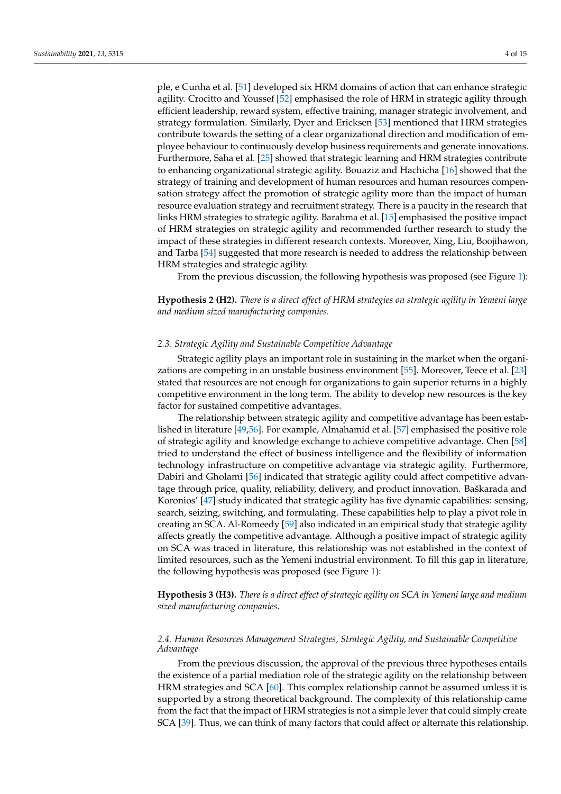agility. Crocitto and Youssef [\[52\]](#page-13-8) emphasised the role of HRM in strategic agility through efficient leadership, reward system, effective training, manager strategic involvement, and strategy formulation. Similarly, Dyer and Ericksen [\[53\]](#page-13-9) mentioned that HRM strategies contribute towards the setting of a clear organizational direction and modification of employee behaviour to continuously develop business requirements and generate innovations. Furthermore, Saha et al. [\[25\]](#page-12-8) showed that strategic learning and HRM strategies contribute to enhancing organizational strategic agility. Bouaziz and Hachicha [\[16\]](#page-12-24) showed that the strategy of training and development of human resources and human resources compensation strategy affect the promotion of strategic agility more than the impact of human resource evaluation strategy and recruitment strategy. There is a paucity in the research that links HRM strategies to strategic agility. Barahma et al. [\[15\]](#page-12-2) emphasised the positive impact of HRM strategies on strategic agility and recommended further research to study the impact of these strategies in different research contexts. Moreover, Xing, Liu, Boojihawon, and Tarba [\[54\]](#page-13-10) suggested that more research is needed to address the relationship between HRM strategies and strategic agility.

From the previous discussion, the following hypothesis was proposed (see Figure [1\)](#page-2-0):

**Hypothesis 2 (H2).** *There is a direct effect of HRM strategies on strategic agility in Yemeni large and medium sized manufacturing companies.*

# *2.3. Strategic Agility and Sustainable Competitive Advantage*

Strategic agility plays an important role in sustaining in the market when the organizations are competing in an unstable business environment [\[55\]](#page-13-11). Moreover, Teece et al. [\[23\]](#page-12-6) stated that resources are not enough for organizations to gain superior returns in a highly competitive environment in the long term. The ability to develop new resources is the key factor for sustained competitive advantages.

The relationship between strategic agility and competitive advantage has been established in literature [\[49,](#page-13-5)[56\]](#page-13-12). For example, Almahamid et al. [\[57\]](#page-13-13) emphasised the positive role of strategic agility and knowledge exchange to achieve competitive advantage. Chen [\[58\]](#page-13-14) tried to understand the effect of business intelligence and the flexibility of information technology infrastructure on competitive advantage via strategic agility. Furthermore, Dabiri and Gholami [\[56\]](#page-13-12) indicated that strategic agility could affect competitive advantage through price, quality, reliability, delivery, and product innovation. Baškarada and Koronios' [\[47\]](#page-13-3) study indicated that strategic agility has five dynamic capabilities: sensing, search, seizing, switching, and formulating. These capabilities help to play a pivot role in creating an SCA. Al-Romeedy [\[59\]](#page-13-15) also indicated in an empirical study that strategic agility affects greatly the competitive advantage. Although a positive impact of strategic agility on SCA was traced in literature, this relationship was not established in the context of limited resources, such as the Yemeni industrial environment. To fill this gap in literature, the following hypothesis was proposed (see Figure [1\)](#page-2-0):

**Hypothesis 3 (H3).** *There is a direct effect of strategic agility on SCA in Yemeni large and medium sized manufacturing companies.*

# *2.4. Human Resources Management Strategies, Strategic Agility, and Sustainable Competitive Advantage*

From the previous discussion, the approval of the previous three hypotheses entails the existence of a partial mediation role of the strategic agility on the relationship between HRM strategies and SCA [\[60\]](#page-13-16). This complex relationship cannot be assumed unless it is supported by a strong theoretical background. The complexity of this relationship came from the fact that the impact of HRM strategies is not a simple lever that could simply create SCA [\[39\]](#page-12-19). Thus, we can think of many factors that could affect or alternate this relationship.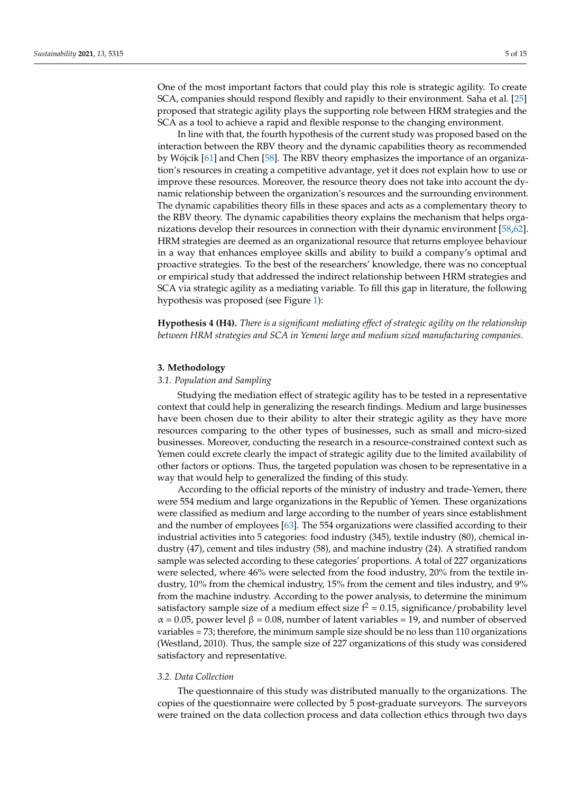One of the most important factors that could play this role is strategic agility. To create SCA, companies should respond flexibly and rapidly to their environment. Saha et al. [\[25\]](#page-12-8) proposed that strategic agility plays the supporting role between HRM strategies and the SCA as a tool to achieve a rapid and flexible response to the changing environment.

In line with that, the fourth hypothesis of the current study was proposed based on the interaction between the RBV theory and the dynamic capabilities theory as recommended by Wójcik [\[61\]](#page-13-17) and Chen [\[58\]](#page-13-14). The RBV theory emphasizes the importance of an organization's resources in creating a competitive advantage, yet it does not explain how to use or improve these resources. Moreover, the resource theory does not take into account the dynamic relationship between the organization's resources and the surrounding environment. The dynamic capabilities theory fills in these spaces and acts as a complementary theory to the RBV theory. The dynamic capabilities theory explains the mechanism that helps organizations develop their resources in connection with their dynamic environment [\[58,](#page-13-14)[62\]](#page-13-18). HRM strategies are deemed as an organizational resource that returns employee behaviour in a way that enhances employee skills and ability to build a company's optimal and proactive strategies. To the best of the researchers' knowledge, there was no conceptual or empirical study that addressed the indirect relationship between HRM strategies and SCA via strategic agility as a mediating variable. To fill this gap in literature, the following hypothesis was proposed (see Figure [1\)](#page-2-0):

**Hypothesis 4 (H4).** *There is a significant mediating effect of strategic agility on the relationship between HRM strategies and SCA in Yemeni large and medium sized manufacturing companies.*

## <span id="page-4-0"></span>**3. Methodology**

#### *3.1. Population and Sampling*

Studying the mediation effect of strategic agility has to be tested in a representative context that could help in generalizing the research findings. Medium and large businesses have been chosen due to their ability to alter their strategic agility as they have more resources comparing to the other types of businesses, such as small and micro-sized businesses. Moreover, conducting the research in a resource-constrained context such as Yemen could excrete clearly the impact of strategic agility due to the limited availability of other factors or options. Thus, the targeted population was chosen to be representative in a way that would help to generalized the finding of this study.

According to the official reports of the ministry of industry and trade-Yemen, there were 554 medium and large organizations in the Republic of Yemen. These organizations were classified as medium and large according to the number of years since establishment and the number of employees [\[63\]](#page-13-19). The 554 organizations were classified according to their industrial activities into 5 categories: food industry (345), textile industry (80), chemical industry (47), cement and tiles industry (58), and machine industry (24). A stratified random sample was selected according to these categories' proportions. A total of 227 organizations were selected, where 46% were selected from the food industry, 20% from the textile industry, 10% from the chemical industry, 15% from the cement and tiles industry, and 9% from the machine industry. According to the power analysis, to determine the minimum satisfactory sample size of a medium effect size  $f^2 = 0.15$ , significance/probability level  $\alpha$  = 0.05, power level  $\beta$  = 0.08, number of latent variables = 19, and number of observed variables = 73; therefore, the minimum sample size should be no less than 110 organizations (Westland, 2010). Thus, the sample size of 227 organizations of this study was considered satisfactory and representative.

## *3.2. Data Collection*

The questionnaire of this study was distributed manually to the organizations. The copies of the questionnaire were collected by 5 post-graduate surveyors. The surveyors were trained on the data collection process and data collection ethics through two days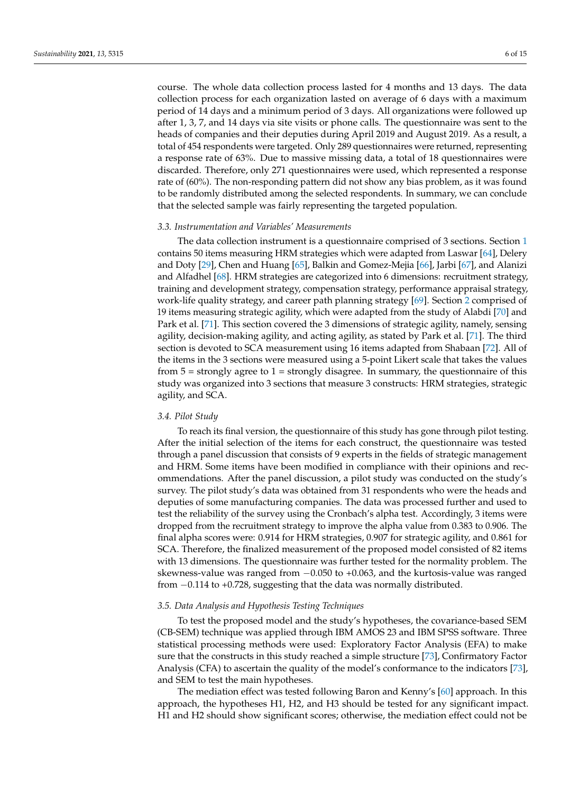course. The whole data collection process lasted for 4 months and 13 days. The data collection process for each organization lasted on average of 6 days with a maximum period of 14 days and a minimum period of 3 days. All organizations were followed up after 1, 3, 7, and 14 days via site visits or phone calls. The questionnaire was sent to the heads of companies and their deputies during April 2019 and August 2019. As a result, a total of 454 respondents were targeted. Only 289 questionnaires were returned, representing a response rate of 63%. Due to massive missing data, a total of 18 questionnaires were discarded. Therefore, only 271 questionnaires were used, which represented a response rate of (60%). The non-responding pattern did not show any bias problem, as it was found to be randomly distributed among the selected respondents. In summary, we can conclude that the selected sample was fairly representing the targeted population.

#### *3.3. Instrumentation and Variables' Measurements*

The data collection instrument is a questionnaire comprised of 3 sections. Section [1](#page-0-0) contains 50 items measuring HRM strategies which were adapted from Laswar [\[64\]](#page-13-20), Delery and Doty [\[29\]](#page-12-25), Chen and Huang [\[65\]](#page-13-21), Balkin and Gomez-Mejia [\[66\]](#page-13-22), Jarbi [\[67\]](#page-13-23), and Alanizi and Alfadhel [\[68\]](#page-13-24). HRM strategies are categorized into 6 dimensions: recruitment strategy, training and development strategy, compensation strategy, performance appraisal strategy, work-life quality strategy, and career path planning strategy [\[69\]](#page-13-25). Section [2](#page-1-0) comprised of 19 items measuring strategic agility, which were adapted from the study of Alabdi [\[70\]](#page-13-26) and Park et al. [\[71\]](#page-13-27). This section covered the 3 dimensions of strategic agility, namely, sensing agility, decision-making agility, and acting agility, as stated by Park et al. [\[71\]](#page-13-27). The third section is devoted to SCA measurement using 16 items adapted from Shabaan [\[72\]](#page-13-28). All of the items in the 3 sections were measured using a 5-point Likert scale that takes the values from  $5 =$  strongly agree to  $1 =$  strongly disagree. In summary, the questionnaire of this study was organized into 3 sections that measure 3 constructs: HRM strategies, strategic agility, and SCA.

## *3.4. Pilot Study*

To reach its final version, the questionnaire of this study has gone through pilot testing. After the initial selection of the items for each construct, the questionnaire was tested through a panel discussion that consists of 9 experts in the fields of strategic management and HRM. Some items have been modified in compliance with their opinions and recommendations. After the panel discussion, a pilot study was conducted on the study's survey. The pilot study's data was obtained from 31 respondents who were the heads and deputies of some manufacturing companies. The data was processed further and used to test the reliability of the survey using the Cronbach's alpha test. Accordingly, 3 items were dropped from the recruitment strategy to improve the alpha value from 0.383 to 0.906. The final alpha scores were: 0.914 for HRM strategies, 0.907 for strategic agility, and 0.861 for SCA. Therefore, the finalized measurement of the proposed model consisted of 82 items with 13 dimensions. The questionnaire was further tested for the normality problem. The skewness-value was ranged from −0.050 to +0.063, and the kurtosis-value was ranged from −0.114 to +0.728, suggesting that the data was normally distributed.

## *3.5. Data Analysis and Hypothesis Testing Techniques*

To test the proposed model and the study's hypotheses, the covariance-based SEM (CB-SEM) technique was applied through IBM AMOS 23 and IBM SPSS software. Three statistical processing methods were used: Exploratory Factor Analysis (EFA) to make sure that the constructs in this study reached a simple structure [\[73\]](#page-14-0), Confirmatory Factor Analysis (CFA) to ascertain the quality of the model's conformance to the indicators [\[73\]](#page-14-0), and SEM to test the main hypotheses.

The mediation effect was tested following Baron and Kenny's [\[60\]](#page-13-16) approach. In this approach, the hypotheses H1, H2, and H3 should be tested for any significant impact. H1 and H2 should show significant scores; otherwise, the mediation effect could not be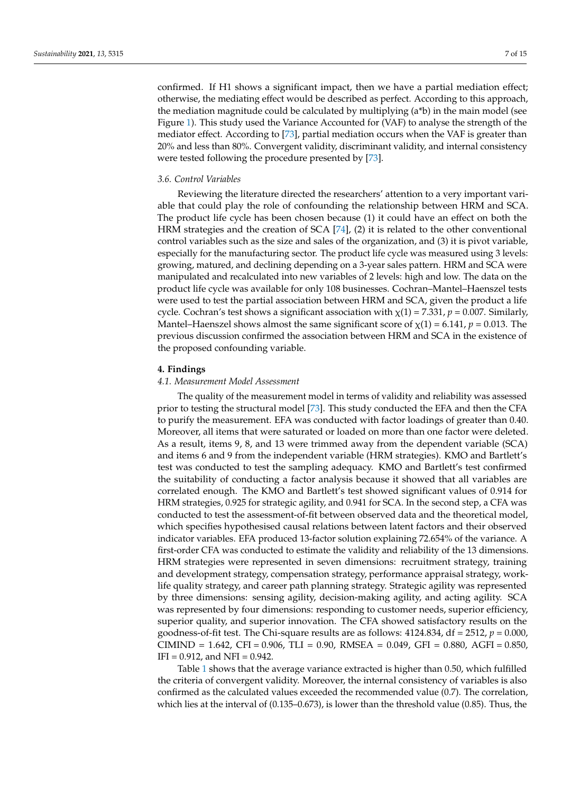confirmed. If H1 shows a significant impact, then we have a partial mediation effect; otherwise, the mediating effect would be described as perfect. According to this approach, the mediation magnitude could be calculated by multiplying  $(a<sup>*</sup>b)$  in the main model (see Figure [1\)](#page-2-0). This study used the Variance Accounted for (VAF) to analyse the strength of the mediator effect. According to [\[73\]](#page-14-0), partial mediation occurs when the VAF is greater than 20% and less than 80%. Convergent validity, discriminant validity, and internal consistency were tested following the procedure presented by [\[73\]](#page-14-0).

## *3.6. Control Variables*

Reviewing the literature directed the researchers' attention to a very important variable that could play the role of confounding the relationship between HRM and SCA. The product life cycle has been chosen because (1) it could have an effect on both the HRM strategies and the creation of SCA [\[74\]](#page-14-1), (2) it is related to the other conventional control variables such as the size and sales of the organization, and (3) it is pivot variable, especially for the manufacturing sector. The product life cycle was measured using 3 levels: growing, matured, and declining depending on a 3-year sales pattern. HRM and SCA were manipulated and recalculated into new variables of 2 levels: high and low. The data on the product life cycle was available for only 108 businesses. Cochran–Mantel–Haenszel tests were used to test the partial association between HRM and SCA, given the product a life cycle. Cochran's test shows a significant association with  $\chi(1) = 7.331$ ,  $p = 0.007$ . Similarly, Mantel–Haenszel shows almost the same significant score of  $\chi(1) = 6.141$ ,  $p = 0.013$ . The previous discussion confirmed the association between HRM and SCA in the existence of the proposed confounding variable.

# <span id="page-6-0"></span>**4. Findings**

# *4.1. Measurement Model Assessment*

The quality of the measurement model in terms of validity and reliability was assessed prior to testing the structural model [\[73\]](#page-14-0). This study conducted the EFA and then the CFA to purify the measurement. EFA was conducted with factor loadings of greater than 0.40. Moreover, all items that were saturated or loaded on more than one factor were deleted. As a result, items 9, 8, and 13 were trimmed away from the dependent variable (SCA) and items 6 and 9 from the independent variable (HRM strategies). KMO and Bartlett's test was conducted to test the sampling adequacy. KMO and Bartlett's test confirmed the suitability of conducting a factor analysis because it showed that all variables are correlated enough. The KMO and Bartlett's test showed significant values of 0.914 for HRM strategies, 0.925 for strategic agility, and 0.941 for SCA. In the second step, a CFA was conducted to test the assessment-of-fit between observed data and the theoretical model, which specifies hypothesised causal relations between latent factors and their observed indicator variables. EFA produced 13-factor solution explaining 72.654% of the variance. A first-order CFA was conducted to estimate the validity and reliability of the 13 dimensions. HRM strategies were represented in seven dimensions: recruitment strategy, training and development strategy, compensation strategy, performance appraisal strategy, worklife quality strategy, and career path planning strategy. Strategic agility was represented by three dimensions: sensing agility, decision-making agility, and acting agility. SCA was represented by four dimensions: responding to customer needs, superior efficiency, superior quality, and superior innovation. The CFA showed satisfactory results on the goodness-of-fit test. The Chi-square results are as follows: 4124.834, df = 2512, *p* = 0.000, CIMIND =  $1.642$ , CFI = 0.906, TLI = 0.90, RMSEA = 0.049, GFI = 0.880, AGFI = 0.850,  $IFI = 0.912$ , and  $NFI = 0.942$ .

Table [1](#page-8-0) shows that the average variance extracted is higher than 0.50, which fulfilled the criteria of convergent validity. Moreover, the internal consistency of variables is also confirmed as the calculated values exceeded the recommended value (0.7). The correlation, which lies at the interval of (0.135–0.673), is lower than the threshold value (0.85). Thus, the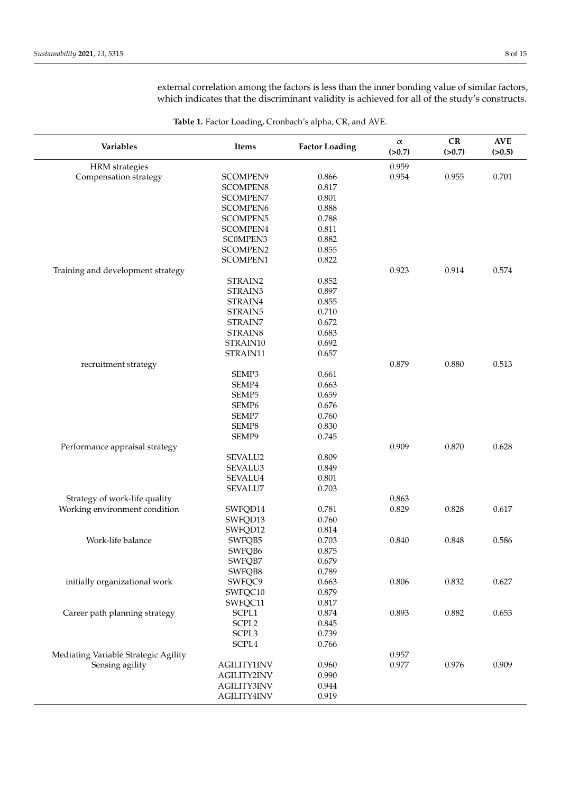external correlation among the factors is less than the inner bonding value of similar factors, which indicates that the discriminant validity is achieved for all of the study's constructs.

| Variables                            | <b>Items</b>       | <b>Factor Loading</b> | $\alpha$<br>(>0.7) | ${\bf CR}$<br>(>0.7) | $\bold{A}\bold{V}\bold{E}$<br>(>0.5) |
|--------------------------------------|--------------------|-----------------------|--------------------|----------------------|--------------------------------------|
| <b>HRM</b> strategies                |                    |                       | 0.959              |                      |                                      |
| Compensation strategy                | SCOMPEN9           | 0.866                 | 0.954              | 0.955                | 0.701                                |
|                                      | <b>SCOMPEN8</b>    | 0.817                 |                    |                      |                                      |
|                                      | SCOMPEN7           | 0.801                 |                    |                      |                                      |
|                                      | SCOMPEN6           | 0.888                 |                    |                      |                                      |
|                                      | <b>SCOMPEN5</b>    | 0.788                 |                    |                      |                                      |
|                                      | SCOMPEN4           | 0.811                 |                    |                      |                                      |
|                                      | SC0MPEN3           | 0.882                 |                    |                      |                                      |
|                                      | <b>SCOMPEN2</b>    | 0.855                 |                    |                      |                                      |
|                                      | <b>SCOMPEN1</b>    | 0.822                 |                    |                      |                                      |
| Training and development strategy    |                    |                       | 0.923              | 0.914                | 0.574                                |
|                                      | STRAIN2            | 0.852                 |                    |                      |                                      |
|                                      | STRAIN3            | 0.897                 |                    |                      |                                      |
|                                      | STRAIN4            | 0.855                 |                    |                      |                                      |
|                                      | STRAIN5            | 0.710                 |                    |                      |                                      |
|                                      | STRAIN7            | 0.672                 |                    |                      |                                      |
|                                      | STRAIN8            | 0.683                 |                    |                      |                                      |
|                                      | STRAIN10           | 0.692                 |                    |                      |                                      |
|                                      | STRAIN11           | 0.657                 |                    |                      |                                      |
| recruitment strategy                 |                    |                       | 0.879              | 0.880                | 0.513                                |
|                                      | SEMP3              | 0.661                 |                    |                      |                                      |
|                                      | SEMP4              | 0.663                 |                    |                      |                                      |
|                                      | SEMP5              | 0.659                 |                    |                      |                                      |
|                                      | SEMP <sub>6</sub>  | 0.676                 |                    |                      |                                      |
|                                      | SEMP7              | 0.760                 |                    |                      |                                      |
|                                      | SEMP8              | 0.830                 |                    |                      |                                      |
|                                      | SEMP9              | 0.745                 |                    |                      |                                      |
| Performance appraisal strategy       |                    |                       | 0.909              | 0.870                | 0.628                                |
|                                      | SEVALU2            | 0.809                 |                    |                      |                                      |
|                                      | SEVALU3            | 0.849                 |                    |                      |                                      |
|                                      | SEVALU4            | 0.801                 |                    |                      |                                      |
|                                      | SEVALU7            | 0.703                 |                    |                      |                                      |
| Strategy of work-life quality        |                    |                       | 0.863              |                      |                                      |
| Working environment condition        | SWFQD14            | 0.781                 | 0.829              | 0.828                | 0.617                                |
|                                      | SWFQD13            | 0.760                 |                    |                      |                                      |
|                                      | SWFQD12            | 0.814                 |                    |                      |                                      |
| Work-life balance                    | SWFQB5             | 0.703                 | 0.840              | 0.848                | 0.586                                |
|                                      | SWFQB6             | 0.875                 |                    |                      |                                      |
|                                      | SWFQB7             | 0.679                 |                    |                      |                                      |
|                                      | SWFQB8             | 0.789                 |                    |                      |                                      |
| initially organizational work        | SWFQC9             | 0.663                 | 0.806              | 0.832                | 0.627                                |
|                                      | SWFQC10            | 0.879                 |                    |                      |                                      |
|                                      | SWFQC11            | 0.817                 |                    |                      |                                      |
| Career path planning strategy        | SCPL1              | 0.874                 | 0.893              | 0.882                | 0.653                                |
|                                      | SCPL <sub>2</sub>  | 0.845                 |                    |                      |                                      |
|                                      | SCPL3              | 0.739                 |                    |                      |                                      |
|                                      | SCPL4              | 0.766                 |                    |                      |                                      |
| Mediating Variable Strategic Agility |                    |                       | 0.957              |                      |                                      |
| Sensing agility                      | <b>AGILITY1INV</b> | 0.960                 | 0.977              | 0.976                | 0.909                                |
|                                      | <b>AGILITY2INV</b> | 0.990                 |                    |                      |                                      |
|                                      | <b>AGILITY3INV</b> | 0.944                 |                    |                      |                                      |
|                                      | <b>AGILITY4INV</b> | 0.919                 |                    |                      |                                      |

**Table 1.** Factor Loading, Cronbach's alpha, CR, and AVE.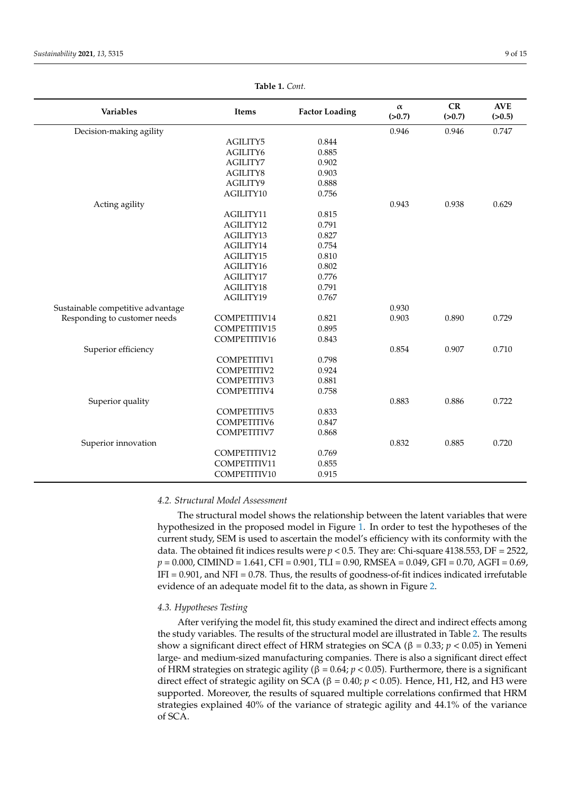<span id="page-8-0"></span>

| <b>Variables</b>                  | Items              | <b>Factor Loading</b> | $\alpha$<br>(>0.7) | CR<br>(>0.7) | <b>AVE</b><br>(>0.5) |  |
|-----------------------------------|--------------------|-----------------------|--------------------|--------------|----------------------|--|
| Decision-making agility           |                    |                       | 0.946              | 0.946        | 0.747                |  |
|                                   | AGILITY5           | 0.844                 |                    |              |                      |  |
|                                   | AGILITY6           | 0.885                 |                    |              |                      |  |
|                                   | <b>AGILITY7</b>    | 0.902                 |                    |              |                      |  |
|                                   | AGILITY8           | 0.903                 |                    |              |                      |  |
|                                   | AGILITY9           | 0.888                 |                    |              |                      |  |
|                                   | AGILITY10          | 0.756                 |                    |              |                      |  |
| Acting agility                    |                    |                       | 0.943              | 0.938        | 0.629                |  |
|                                   | AGILITY11          | 0.815                 |                    |              |                      |  |
|                                   | AGILITY12          | 0.791                 |                    |              |                      |  |
|                                   | AGILITY13          | 0.827                 |                    |              |                      |  |
|                                   | AGILITY14          | 0.754                 |                    |              |                      |  |
|                                   | AGILITY15          | 0.810                 |                    |              |                      |  |
|                                   | AGILITY16          | 0.802                 |                    |              |                      |  |
|                                   | AGILITY17          | 0.776                 |                    |              |                      |  |
|                                   | AGILITY18          | 0.791                 |                    |              |                      |  |
|                                   | AGILITY19          | 0.767                 |                    |              |                      |  |
| Sustainable competitive advantage |                    |                       | 0.930              |              |                      |  |
| Responding to customer needs      | COMPETITIV14       | 0.821                 | 0.903              | 0.890        | 0.729                |  |
|                                   | COMPETITIV15       | 0.895                 |                    |              |                      |  |
|                                   | COMPETITIV16       | 0.843                 |                    |              |                      |  |
| Superior efficiency               |                    |                       | 0.854              | 0.907        | 0.710                |  |
|                                   | COMPETITIV1        | 0.798                 |                    |              |                      |  |
|                                   | <b>COMPETITIV2</b> | 0.924                 |                    |              |                      |  |
|                                   | COMPETITIV3        | 0.881                 |                    |              |                      |  |
|                                   | COMPETITIV4        | 0.758                 |                    |              |                      |  |
| Superior quality                  |                    |                       | 0.883              | 0.886        | 0.722                |  |
|                                   | COMPETITIV5        | 0.833                 |                    |              |                      |  |
|                                   | COMPETITIV6        | 0.847                 |                    |              |                      |  |
|                                   | <b>COMPETITIV7</b> | 0.868                 |                    |              |                      |  |
| Superior innovation               |                    |                       | 0.832              | 0.885        | 0.720                |  |
|                                   | COMPETITIV12       | 0.769                 |                    |              |                      |  |

COMPETITIV11 0.855 COMPETITIV10 0.915

**Table 1.** *Cont.*

# *4.2. Structural Model Assessment*

The structural model shows the relationship between the latent variables that were hypothesized in the proposed model in Figure [1.](#page-2-0) In order to test the hypotheses of the current study, SEM is used to ascertain the model's efficiency with its conformity with the data. The obtained fit indices results were  $p < 0.5$ . They are: Chi-square 4138.553, DF = 2522, *p* = 0.000, CIMIND = 1.641, CFI = 0.901, TLI = 0.90, RMSEA = 0.049, GFI = 0.70, AGFI = 0.69, IFI = 0.901, and NFI = 0.78. Thus, the results of goodness-of-fit indices indicated irrefutable evidence of an adequate model fit to the data, as shown in Figure [2.](#page-9-0)

#### *4.3. Hypotheses Testing*

After verifying the model fit, this study examined the direct and indirect effects among the study variables. The results of the structural model are illustrated in Table [2.](#page-9-1) The results show a significant direct effect of HRM strategies on SCA ( $\beta = 0.33$ ;  $p < 0.05$ ) in Yemeni large- and medium-sized manufacturing companies. There is also a significant direct effect of HRM strategies on strategic agility (β = 0.64; *p* < 0.05). Furthermore, there is a significant direct effect of strategic agility on SCA (β = 0.40;  $p$  < 0.05). Hence, H1, H2, and H3 were supported. Moreover, the results of squared multiple correlations confirmed that HRM strategies explained 40% of the variance of strategic agility and 44.1% of the variance of SCA.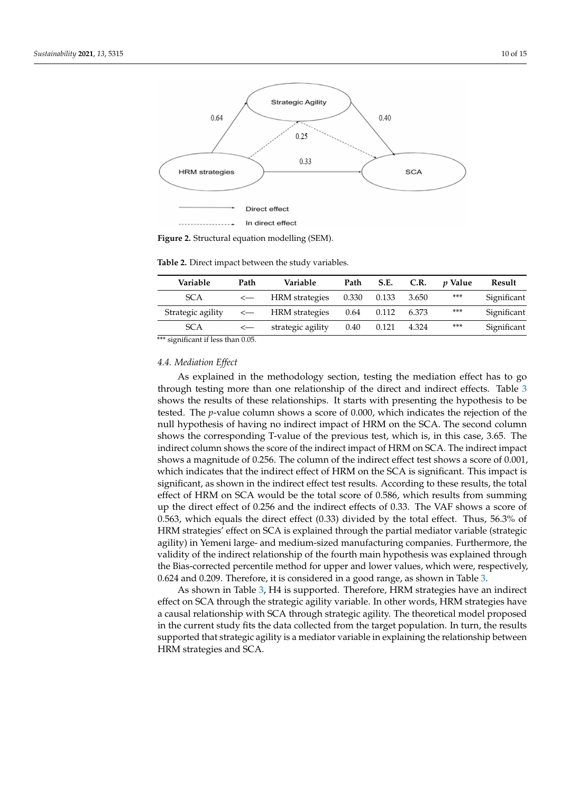<span id="page-9-0"></span>

**Figure 2.** Structural equation modelling (SEM).

<span id="page-9-1"></span>**Table 2.** Direct impact between the study variables.

| Variable          | Path | Variable          | Path  |              | S.E. C.R. | <i>v</i> Value | Result      |
|-------------------|------|-------------------|-------|--------------|-----------|----------------|-------------|
| <b>SCA</b>        |      | <— HRM strategies | 0.330 | 0.133        | 3.650     | ***            | Significant |
| Strategic agility |      | <— HRM strategies |       | $0.64$ 0.112 | 6.373     | ***            | Significant |
| <b>SCA</b>        |      | strategic agility | 0.40  | 0.121        | 4.324     | ***            | Significant |

\*\*\* significant if less than 0.05.

#### *4.4. Mediation Effect*

As explained in the methodology section, testing the mediation effect has to go through testing more than one relationship of the direct and indirect effects. Table [3](#page-10-1) shows the results of these relationships. It starts with presenting the hypothesis to be tested. The *p*-value column shows a score of 0.000, which indicates the rejection of the null hypothesis of having no indirect impact of HRM on the SCA. The second column shows the corresponding T-value of the previous test, which is, in this case, 3.65. The indirect column shows the score of the indirect impact of HRM on SCA. The indirect impact shows a magnitude of 0.256. The column of the indirect effect test shows a score of 0.001, which indicates that the indirect effect of HRM on the SCA is significant. This impact is significant, as shown in the indirect effect test results. According to these results, the total effect of HRM on SCA would be the total score of 0.586, which results from summing up the direct effect of 0.256 and the indirect effects of 0.33. The VAF shows a score of 0.563, which equals the direct effect (0.33) divided by the total effect. Thus, 56.3% of HRM strategies' effect on SCA is explained through the partial mediator variable (strategic agility) in Yemeni large- and medium-sized manufacturing companies. Furthermore, the validity of the indirect relationship of the fourth main hypothesis was explained through the Bias-corrected percentile method for upper and lower values, which were, respectively, 0.624 and 0.209. Therefore, it is considered in a good range, as shown in Table [3.](#page-10-1)

As shown in Table [3,](#page-10-1) H4 is supported. Therefore, HRM strategies have an indirect effect on SCA through the strategic agility variable. In other words, HRM strategies have a causal relationship with SCA through strategic agility. The theoretical model proposed in the current study fits the data collected from the target population. In turn, the results supported that strategic agility is a mediator variable in explaining the relationship between HRM strategies and SCA.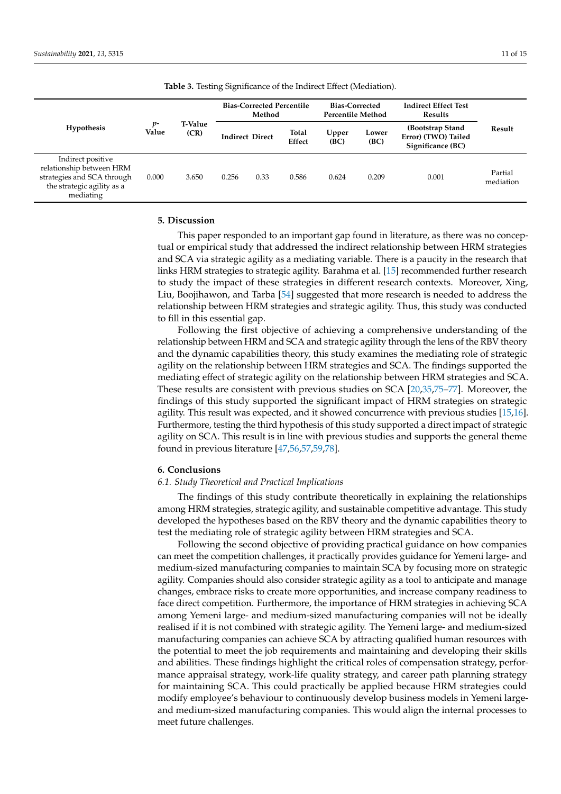<span id="page-10-1"></span>

| <b>Hypothesis</b>                                                                                                      | р-<br>Value |                        |       | <b>Bias-Corrected Percentile</b><br>Method |                 | <b>Bias-Corrected</b><br>Percentile Method |               | <b>Indirect Effect Test</b><br><b>Results</b>                |                      |
|------------------------------------------------------------------------------------------------------------------------|-------------|------------------------|-------|--------------------------------------------|-----------------|--------------------------------------------|---------------|--------------------------------------------------------------|----------------------|
|                                                                                                                        |             | <b>T-Value</b><br>(CR) |       | <b>Indirect Direct</b>                     | Total<br>Effect | Upper<br>(BC)                              | Lower<br>(BC) | (Bootstrap Stand<br>Error) (TWO) Tailed<br>Significance (BC) | Result               |
| Indirect positive<br>relationship between HRM<br>strategies and SCA through<br>the strategic agility as a<br>mediating | 0.000       | 3.650                  | 0.256 | 0.33                                       | 0.586           | 0.624                                      | 0.209         | 0.001                                                        | Partial<br>mediation |

**Table 3.** Testing Significance of the Indirect Effect (Mediation).

# <span id="page-10-0"></span>**5. Discussion**

This paper responded to an important gap found in literature, as there was no conceptual or empirical study that addressed the indirect relationship between HRM strategies and SCA via strategic agility as a mediating variable. There is a paucity in the research that links HRM strategies to strategic agility. Barahma et al. [\[15\]](#page-12-2) recommended further research to study the impact of these strategies in different research contexts. Moreover, Xing, Liu, Boojihawon, and Tarba [\[54\]](#page-13-10) suggested that more research is needed to address the relationship between HRM strategies and strategic agility. Thus, this study was conducted to fill in this essential gap.

Following the first objective of achieving a comprehensive understanding of the relationship between HRM and SCA and strategic agility through the lens of the RBV theory and the dynamic capabilities theory, this study examines the mediating role of strategic agility on the relationship between HRM strategies and SCA. The findings supported the mediating effect of strategic agility on the relationship between HRM strategies and SCA. These results are consistent with previous studies on SCA [\[20](#page-12-3)[,35](#page-12-14)[,75–](#page-14-2)[77\]](#page-14-3). Moreover, the findings of this study supported the significant impact of HRM strategies on strategic agility. This result was expected, and it showed concurrence with previous studies [\[15](#page-12-2)[,16\]](#page-12-24). Furthermore, testing the third hypothesis of this study supported a direct impact of strategic agility on SCA. This result is in line with previous studies and supports the general theme found in previous literature [\[47,](#page-13-3)[56,](#page-13-12)[57](#page-13-13)[,59](#page-13-15)[,78\]](#page-14-4).

#### **6. Conclusions**

# *6.1. Study Theoretical and Practical Implications*

The findings of this study contribute theoretically in explaining the relationships among HRM strategies, strategic agility, and sustainable competitive advantage. This study developed the hypotheses based on the RBV theory and the dynamic capabilities theory to test the mediating role of strategic agility between HRM strategies and SCA.

Following the second objective of providing practical guidance on how companies can meet the competition challenges, it practically provides guidance for Yemeni large- and medium-sized manufacturing companies to maintain SCA by focusing more on strategic agility. Companies should also consider strategic agility as a tool to anticipate and manage changes, embrace risks to create more opportunities, and increase company readiness to face direct competition. Furthermore, the importance of HRM strategies in achieving SCA among Yemeni large- and medium-sized manufacturing companies will not be ideally realised if it is not combined with strategic agility. The Yemeni large- and medium-sized manufacturing companies can achieve SCA by attracting qualified human resources with the potential to meet the job requirements and maintaining and developing their skills and abilities. These findings highlight the critical roles of compensation strategy, performance appraisal strategy, work-life quality strategy, and career path planning strategy for maintaining SCA. This could practically be applied because HRM strategies could modify employee's behaviour to continuously develop business models in Yemeni largeand medium-sized manufacturing companies. This would align the internal processes to meet future challenges.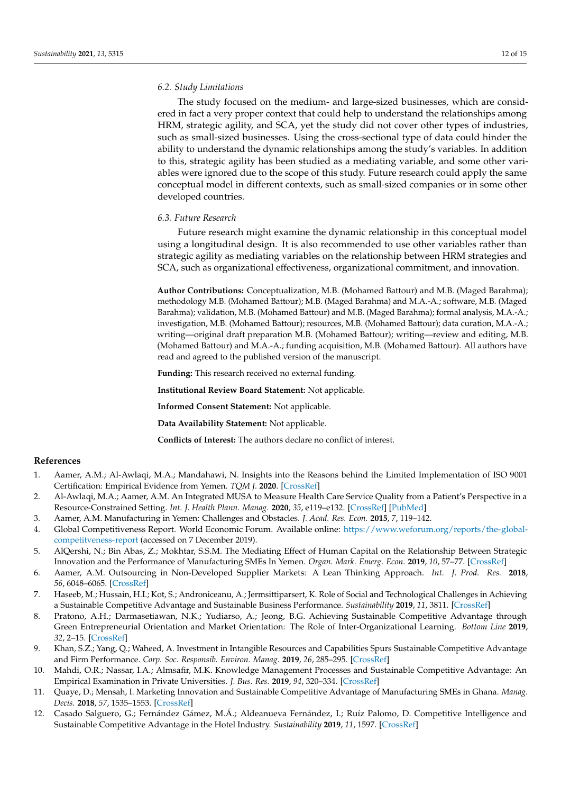## *6.2. Study Limitations*

The study focused on the medium- and large-sized businesses, which are considered in fact a very proper context that could help to understand the relationships among HRM, strategic agility, and SCA, yet the study did not cover other types of industries, such as small-sized businesses. Using the cross-sectional type of data could hinder the ability to understand the dynamic relationships among the study's variables. In addition to this, strategic agility has been studied as a mediating variable, and some other variables were ignored due to the scope of this study. Future research could apply the same conceptual model in different contexts, such as small-sized companies or in some other developed countries.

#### *6.3. Future Research*

Future research might examine the dynamic relationship in this conceptual model using a longitudinal design. It is also recommended to use other variables rather than strategic agility as mediating variables on the relationship between HRM strategies and SCA, such as organizational effectiveness, organizational commitment, and innovation.

**Author Contributions:** Conceptualization, M.B. (Mohamed Battour) and M.B. (Maged Barahma); methodology M.B. (Mohamed Battour); M.B. (Maged Barahma) and M.A.-A.; software, M.B. (Maged Barahma); validation, M.B. (Mohamed Battour) and M.B. (Maged Barahma); formal analysis, M.A.-A.; investigation, M.B. (Mohamed Battour); resources, M.B. (Mohamed Battour); data curation, M.A.-A.; writing—original draft preparation M.B. (Mohamed Battour); writing—review and editing, M.B. (Mohamed Battour) and M.A.-A.; funding acquisition, M.B. (Mohamed Battour). All authors have read and agreed to the published version of the manuscript.

**Funding:** This research received no external funding.

**Institutional Review Board Statement:** Not applicable.

**Informed Consent Statement:** Not applicable.

**Data Availability Statement:** Not applicable.

**Conflicts of Interest:** The authors declare no conflict of interest.

## **References**

- <span id="page-11-0"></span>1. Aamer, A.M.; Al-Awlaqi, M.A.; Mandahawi, N. Insights into the Reasons behind the Limited Implementation of ISO 9001 Certification: Empirical Evidence from Yemen. *TQM J.* **2020**. [\[CrossRef\]](http://doi.org/10.1108/TQM-04-2020-0068)
- <span id="page-11-1"></span>2. Al-Awlaqi, M.A.; Aamer, A.M. An Integrated MUSA to Measure Health Care Service Quality from a Patient's Perspective in a Resource-Constrained Setting. *Int. J. Health Plann. Manag.* **2020**, *35*, e119–e132. [\[CrossRef\]](http://doi.org/10.1002/hpm.2943) [\[PubMed\]](http://www.ncbi.nlm.nih.gov/pubmed/31670407)
- <span id="page-11-2"></span>3. Aamer, A.M. Manufacturing in Yemen: Challenges and Obstacles. *J. Acad. Res. Econ.* **2015**, *7*, 119–142.
- <span id="page-11-3"></span>4. Global Competitiveness Report. World Economic Forum. Available online: [https://www.weforum.org/reports/the-global](https://www.weforum.org/reports/the-global-competitveness-report)[competitveness-report](https://www.weforum.org/reports/the-global-competitveness-report) (accessed on 7 December 2019).
- <span id="page-11-4"></span>5. AlQershi, N.; Bin Abas, Z.; Mokhtar, S.S.M. The Mediating Effect of Human Capital on the Relationship Between Strategic Innovation and the Performance of Manufacturing SMEs In Yemen. *Organ. Mark. Emerg. Econ.* **2019**, *10*, 57–77. [\[CrossRef\]](http://doi.org/10.15388/omee.2019.10.00003)
- <span id="page-11-5"></span>6. Aamer, A.M. Outsourcing in Non-Developed Supplier Markets: A Lean Thinking Approach. *Int. J. Prod. Res.* **2018**, *56*, 6048–6065. [\[CrossRef\]](http://doi.org/10.1080/00207543.2018.1465609)
- <span id="page-11-6"></span>7. Haseeb, M.; Hussain, H.I.; Kot, S.; Androniceanu, A.; Jermsittiparsert, K. Role of Social and Technological Challenges in Achieving a Sustainable Competitive Advantage and Sustainable Business Performance. *Sustainability* **2019**, *11*, 3811. [\[CrossRef\]](http://doi.org/10.3390/su11143811)
- <span id="page-11-7"></span>8. Pratono, A.H.; Darmasetiawan, N.K.; Yudiarso, A.; Jeong, B.G. Achieving Sustainable Competitive Advantage through Green Entrepreneurial Orientation and Market Orientation: The Role of Inter-Organizational Learning. *Bottom Line* **2019**, *32*, 2–15. [\[CrossRef\]](http://doi.org/10.1108/BL-10-2018-0045)
- <span id="page-11-8"></span>9. Khan, S.Z.; Yang, Q.; Waheed, A. Investment in Intangible Resources and Capabilities Spurs Sustainable Competitive Advantage and Firm Performance. *Corp. Soc. Responsib. Environ. Manag.* **2019**, *26*, 285–295. [\[CrossRef\]](http://doi.org/10.1002/csr.1678)
- <span id="page-11-9"></span>10. Mahdi, O.R.; Nassar, I.A.; Almsafir, M.K. Knowledge Management Processes and Sustainable Competitive Advantage: An Empirical Examination in Private Universities. *J. Bus. Res.* **2019**, *94*, 320–334. [\[CrossRef\]](http://doi.org/10.1016/j.jbusres.2018.02.013)
- <span id="page-11-10"></span>11. Quaye, D.; Mensah, I. Marketing Innovation and Sustainable Competitive Advantage of Manufacturing SMEs in Ghana. *Manag. Decis.* **2018**, *57*, 1535–1553. [\[CrossRef\]](http://doi.org/10.1108/MD-08-2017-0784)
- <span id="page-11-11"></span>12. Casado Salguero, G.; Fernández Gámez, M.Á.; Aldeanueva Fernández, I.; Ruíz Palomo, D. Competitive Intelligence and Sustainable Competitive Advantage in the Hotel Industry. *Sustainability* **2019**, *11*, 1597. [\[CrossRef\]](http://doi.org/10.3390/su11061597)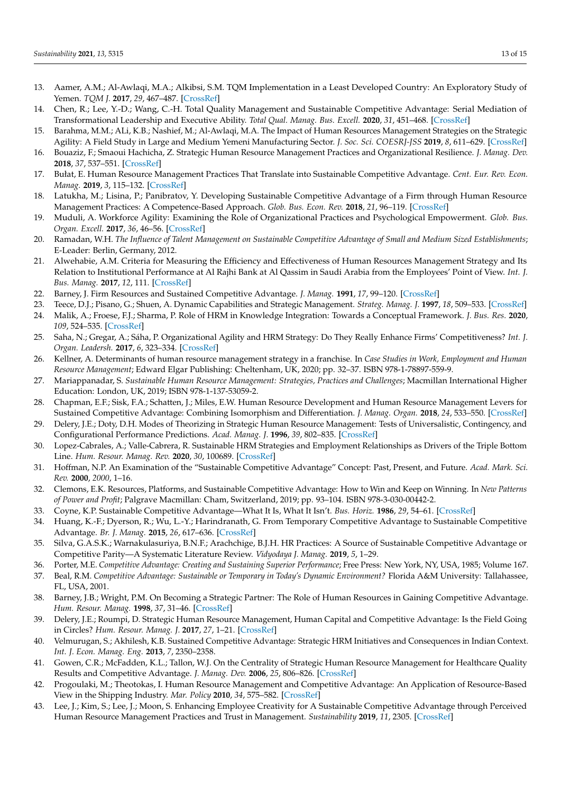- <span id="page-12-0"></span>13. Aamer, A.M.; Al-Awlaqi, M.A.; Alkibsi, S.M. TQM Implementation in a Least Developed Country: An Exploratory Study of Yemen. *TQM J.* **2017**, *29*, 467–487. [\[CrossRef\]](http://doi.org/10.1108/TQM-11-2015-0141)
- <span id="page-12-1"></span>14. Chen, R.; Lee, Y.-D.; Wang, C.-H. Total Quality Management and Sustainable Competitive Advantage: Serial Mediation of Transformational Leadership and Executive Ability. *Total Qual. Manag. Bus. Excell.* **2020**, *31*, 451–468. [\[CrossRef\]](http://doi.org/10.1080/14783363.2018.1476132)
- <span id="page-12-2"></span>15. Barahma, M.M.; ALi, K.B.; Nashief, M.; Al-Awlaqi, M.A. The Impact of Human Resources Management Strategies on the Strategic Agility: A Field Study in Large and Medium Yemeni Manufacturing Sector. *J. Soc. Sci. COESRJ-JSS* **2019**, *8*, 611–629. [\[CrossRef\]](http://doi.org/10.25255/jss.2019.8.4.611.629)
- <span id="page-12-24"></span>16. Bouaziz, F.; Smaoui Hachicha, Z. Strategic Human Resource Management Practices and Organizational Resilience. *J. Manag. Dev.* **2018**, *37*, 537–551. [\[CrossRef\]](http://doi.org/10.1108/JMD-11-2017-0358)
- 17. Bułat, E. Human Resource Management Practices That Translate into Sustainable Competitive Advantage. *Cent. Eur. Rev. Econ. Manag.* **2019**, *3*, 115–132. [\[CrossRef\]](http://doi.org/10.29015/cerem.507)
- 18. Latukha, M.; Lisina, P.; Panibratov, Y. Developing Sustainable Competitive Advantage of a Firm through Human Resource Management Practices: A Competence-Based Approach. *Glob. Bus. Econ. Rev.* **2018**, *21*, 96–119. [\[CrossRef\]](http://doi.org/10.1504/GBER.2019.096855)
- 19. Muduli, A. Workforce Agility: Examining the Role of Organizational Practices and Psychological Empowerment. *Glob. Bus. Organ. Excell.* **2017**, *36*, 46–56. [\[CrossRef\]](http://doi.org/10.1002/joe.21800)
- <span id="page-12-3"></span>20. Ramadan, W.H. *The Influence of Talent Management on Sustainable Competitive Advantage of Small and Medium Sized Establishments*; E-Leader: Berlin, Germany, 2012.
- <span id="page-12-4"></span>21. Alwehabie, A.M. Criteria for Measuring the Efficiency and Effectiveness of Human Resources Management Strategy and Its Relation to Institutional Performance at Al Rajhi Bank at Al Qassim in Saudi Arabia from the Employees' Point of View. *Int. J. Bus. Manag.* **2017**, *12*, 111. [\[CrossRef\]](http://doi.org/10.5539/ijbm.v12n10p111)
- <span id="page-12-5"></span>22. Barney, J. Firm Resources and Sustained Competitive Advantage. *J. Manag.* **1991**, *17*, 99–120. [\[CrossRef\]](http://doi.org/10.1177/014920639101700108)
- <span id="page-12-6"></span>23. Teece, D.J.; Pisano, G.; Shuen, A. Dynamic Capabilities and Strategic Management. *Strateg. Manag. J.* **1997**, *18*, 509–533. [\[CrossRef\]](http://doi.org/10.1002/(SICI)1097-0266(199708)18:7<509::AID-SMJ882>3.0.CO;2-Z)
- <span id="page-12-7"></span>24. Malik, A.; Froese, F.J.; Sharma, P. Role of HRM in Knowledge Integration: Towards a Conceptual Framework. *J. Bus. Res.* **2020**, *109*, 524–535. [\[CrossRef\]](http://doi.org/10.1016/j.jbusres.2019.01.029)
- <span id="page-12-8"></span>25. Saha, N.; Gregar, A.; Sáha, P. Organizational Agility and HRM Strategy: Do They Really Enhance Firms' Competitiveness? *Int. J. Organ. Leadersh.* **2017**, *6*, 323–334. [\[CrossRef\]](http://doi.org/10.33844/ijol.2017.60454)
- <span id="page-12-9"></span>26. Kellner, A. Determinants of human resource management strategy in a franchise. In *Case Studies in Work, Employment and Human Resource Management*; Edward Elgar Publishing: Cheltenham, UK, 2020; pp. 32–37. ISBN 978-1-78897-559-9.
- <span id="page-12-10"></span>27. Mariappanadar, S. *Sustainable Human Resource Management: Strategies, Practices and Challenges*; Macmillan International Higher Education: London, UK, 2019; ISBN 978-1-137-53059-2.
- <span id="page-12-11"></span>28. Chapman, E.F.; Sisk, F.A.; Schatten, J.; Miles, E.W. Human Resource Development and Human Resource Management Levers for Sustained Competitive Advantage: Combining Isomorphism and Differentiation. *J. Manag. Organ.* **2018**, *24*, 533–550. [\[CrossRef\]](http://doi.org/10.1017/jmo.2016.37)
- <span id="page-12-25"></span>29. Delery, J.E.; Doty, D.H. Modes of Theorizing in Strategic Human Resource Management: Tests of Universalistic, Contingency, and Configurational Performance Predictions. *Acad. Manag. J.* **1996**, *39*, 802–835. [\[CrossRef\]](http://doi.org/10.5465/256713)
- <span id="page-12-12"></span>30. Lopez-Cabrales, A.; Valle-Cabrera, R. Sustainable HRM Strategies and Employment Relationships as Drivers of the Triple Bottom Line. *Hum. Resour. Manag. Rev.* **2020**, *30*, 100689. [\[CrossRef\]](http://doi.org/10.1016/j.hrmr.2019.100689)
- <span id="page-12-13"></span>31. Hoffman, N.P. An Examination of the "Sustainable Competitive Advantage" Concept: Past, Present, and Future. *Acad. Mark. Sci. Rev.* **2000**, *2000*, 1–16.
- 32. Clemons, E.K. Resources, Platforms, and Sustainable Competitive Advantage: How to Win and Keep on Winning. In *New Patterns of Power and Profit*; Palgrave Macmillan: Cham, Switzerland, 2019; pp. 93–104. ISBN 978-3-030-00442-2.
- <span id="page-12-17"></span>33. Coyne, K.P. Sustainable Competitive Advantage—What It Is, What It Isn't. *Bus. Horiz.* **1986**, *29*, 54–61. [\[CrossRef\]](http://doi.org/10.1016/0007-6813(86)90087-X)
- 34. Huang, K.-F.; Dyerson, R.; Wu, L.-Y.; Harindranath, G. From Temporary Competitive Advantage to Sustainable Competitive Advantage. *Br. J. Manag.* **2015**, *26*, 617–636. [\[CrossRef\]](http://doi.org/10.1111/1467-8551.12104)
- <span id="page-12-14"></span>35. Silva, G.A.S.K.; Warnakulasuriya, B.N.F.; Arachchige, B.J.H. HR Practices: A Source of Sustainable Competitive Advantage or Competitive Parity—A Systematic Literature Review. *Vidyodaya J. Manag.* **2019**, *5*, 1–29.
- <span id="page-12-15"></span>36. Porter, M.E. *Competitive Advantage: Creating and Sustaining Superior Performance*; Free Press: New York, NY, USA, 1985; Volume 167.
- <span id="page-12-16"></span>37. Beal, R.M. *Competitive Advantage: Sustainable or Temporary in Today's Dynamic Environment?* Florida A&M University: Tallahassee, FL, USA, 2001.
- <span id="page-12-18"></span>38. Barney, J.B.; Wright, P.M. On Becoming a Strategic Partner: The Role of Human Resources in Gaining Competitive Advantage. *Hum. Resour. Manag.* **1998**, *37*, 31–46. [\[CrossRef\]](http://doi.org/10.1002/(SICI)1099-050X(199821)37:1<31::AID-HRM4>3.0.CO;2-W)
- <span id="page-12-19"></span>39. Delery, J.E.; Roumpi, D. Strategic Human Resource Management, Human Capital and Competitive Advantage: Is the Field Going in Circles? *Hum. Resour. Manag. J.* **2017**, *27*, 1–21. [\[CrossRef\]](http://doi.org/10.1111/1748-8583.12137)
- <span id="page-12-20"></span>40. Velmurugan, S.; Akhilesh, K.B. Sustained Competitive Advantage: Strategic HRM Initiatives and Consequences in Indian Context. *Int. J. Econ. Manag. Eng.* **2013**, *7*, 2350–2358.
- <span id="page-12-21"></span>41. Gowen, C.R.; McFadden, K.L.; Tallon, W.J. On the Centrality of Strategic Human Resource Management for Healthcare Quality Results and Competitive Advantage. *J. Manag. Dev.* **2006**, *25*, 806–826. [\[CrossRef\]](http://doi.org/10.1108/02621710610684277)
- <span id="page-12-22"></span>42. Progoulaki, M.; Theotokas, I. Human Resource Management and Competitive Advantage: An Application of Resource-Based View in the Shipping Industry. *Mar. Policy* **2010**, *34*, 575–582. [\[CrossRef\]](http://doi.org/10.1016/j.marpol.2009.11.004)
- <span id="page-12-23"></span>43. Lee, J.; Kim, S.; Lee, J.; Moon, S. Enhancing Employee Creativity for A Sustainable Competitive Advantage through Perceived Human Resource Management Practices and Trust in Management. *Sustainability* **2019**, *11*, 2305. [\[CrossRef\]](http://doi.org/10.3390/su11082305)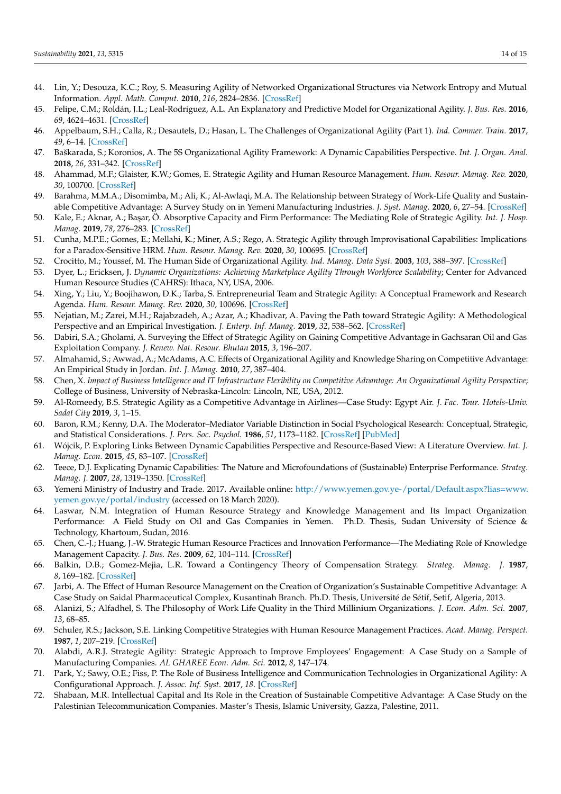- <span id="page-13-0"></span>44. Lin, Y.; Desouza, K.C.; Roy, S. Measuring Agility of Networked Organizational Structures via Network Entropy and Mutual Information. *Appl. Math. Comput.* **2010**, *216*, 2824–2836. [\[CrossRef\]](http://doi.org/10.1016/j.amc.2010.03.132)
- <span id="page-13-1"></span>45. Felipe, C.M.; Roldán, J.L.; Leal-Rodríguez, A.L. An Explanatory and Predictive Model for Organizational Agility. *J. Bus. Res.* **2016**, *69*, 4624–4631. [\[CrossRef\]](http://doi.org/10.1016/j.jbusres.2016.04.014)
- <span id="page-13-2"></span>46. Appelbaum, S.H.; Calla, R.; Desautels, D.; Hasan, L. The Challenges of Organizational Agility (Part 1). *Ind. Commer. Train.* **2017**, *49*, 6–14. [\[CrossRef\]](http://doi.org/10.1108/ICT-05-2016-0027)
- <span id="page-13-3"></span>47. Baškarada, S.; Koronios, A. The 5S Organizational Agility Framework: A Dynamic Capabilities Perspective. *Int. J. Organ. Anal.* **2018**, *26*, 331–342. [\[CrossRef\]](http://doi.org/10.1108/IJOA-05-2017-1163)
- <span id="page-13-4"></span>48. Ahammad, M.F.; Glaister, K.W.; Gomes, E. Strategic Agility and Human Resource Management. *Hum. Resour. Manag. Rev.* **2020**, *30*, 100700. [\[CrossRef\]](http://doi.org/10.1016/j.hrmr.2019.100700)
- <span id="page-13-5"></span>49. Barahma, M.M.A.; Disomimba, M.; Ali, K.; Al-Awlaqi, M.A. The Relationship between Strategy of Work-Life Quality and Sustainable Competitive Advantage: A Survey Study on in Yemeni Manufacturing Industries. *J. Syst. Manag.* **2020**, *6*, 27–54. [\[CrossRef\]](http://doi.org/10.30495/jsm.2020.677235)
- <span id="page-13-6"></span>50. Kale, E.; Aknar, A.; Ba¸sar, Ö. Absorptive Capacity and Firm Performance: The Mediating Role of Strategic Agility. *Int. J. Hosp. Manag.* **2019**, *78*, 276–283. [\[CrossRef\]](http://doi.org/10.1016/j.ijhm.2018.09.010)
- <span id="page-13-7"></span>51. Cunha, M.P.E.; Gomes, E.; Mellahi, K.; Miner, A.S.; Rego, A. Strategic Agility through Improvisational Capabilities: Implications for a Paradox-Sensitive HRM. *Hum. Resour. Manag. Rev.* **2020**, *30*, 100695. [\[CrossRef\]](http://doi.org/10.1016/j.hrmr.2019.100695)
- <span id="page-13-8"></span>52. Crocitto, M.; Youssef, M. The Human Side of Organizational Agility. *Ind. Manag. Data Syst.* **2003**, *103*, 388–397. [\[CrossRef\]](http://doi.org/10.1108/02635570310479963)
- <span id="page-13-9"></span>53. Dyer, L.; Ericksen, J. *Dynamic Organizations: Achieving Marketplace Agility Through Workforce Scalability*; Center for Advanced Human Resource Studies (CAHRS): Ithaca, NY, USA, 2006.
- <span id="page-13-10"></span>54. Xing, Y.; Liu, Y.; Boojihawon, D.K.; Tarba, S. Entrepreneurial Team and Strategic Agility: A Conceptual Framework and Research Agenda. *Hum. Resour. Manag. Rev.* **2020**, *30*, 100696. [\[CrossRef\]](http://doi.org/10.1016/j.hrmr.2019.100696)
- <span id="page-13-11"></span>55. Nejatian, M.; Zarei, M.H.; Rajabzadeh, A.; Azar, A.; Khadivar, A. Paving the Path toward Strategic Agility: A Methodological Perspective and an Empirical Investigation. *J. Enterp. Inf. Manag.* **2019**, *32*, 538–562. [\[CrossRef\]](http://doi.org/10.1108/JEIM-10-2018-0233)
- <span id="page-13-12"></span>56. Dabiri, S.A.; Gholami, A. Surveying the Effect of Strategic Agility on Gaining Competitive Advantage in Gachsaran Oil and Gas Exploitation Company. *J. Renew. Nat. Resour. Bhutan* **2015**, *3*, 196–207.
- <span id="page-13-13"></span>57. Almahamid, S.; Awwad, A.; McAdams, A.C. Effects of Organizational Agility and Knowledge Sharing on Competitive Advantage: An Empirical Study in Jordan. *Int. J. Manag.* **2010**, *27*, 387–404.
- <span id="page-13-14"></span>58. Chen, X. *Impact of Business Intelligence and IT Infrastructure Flexibility on Competitive Advantage: An Organizational Agility Perspective*; College of Business, University of Nebraska-Lincoln: Lincoln, NE, USA, 2012.
- <span id="page-13-15"></span>59. Al-Romeedy, B.S. Strategic Agility as a Competitive Advantage in Airlines—Case Study: Egypt Air. *J. Fac. Tour. Hotels-Univ. Sadat City* **2019**, *3*, 1–15.
- <span id="page-13-16"></span>60. Baron, R.M.; Kenny, D.A. The Moderator–Mediator Variable Distinction in Social Psychological Research: Conceptual, Strategic, and Statistical Considerations. *J. Pers. Soc. Psychol.* **1986**, *51*, 1173–1182. [\[CrossRef\]](http://doi.org/10.1037/0022-3514.51.6.1173) [\[PubMed\]](http://www.ncbi.nlm.nih.gov/pubmed/3806354)
- <span id="page-13-17"></span>61. Wójcik, P. Exploring Links Between Dynamic Capabilities Perspective and Resource-Based View: A Literature Overview. *Int. J. Manag. Econ.* **2015**, *45*, 83–107. [\[CrossRef\]](http://doi.org/10.1515/ijme-2015-0017)
- <span id="page-13-18"></span>62. Teece, D.J. Explicating Dynamic Capabilities: The Nature and Microfoundations of (Sustainable) Enterprise Performance. *Strateg. Manag. J.* **2007**, *28*, 1319–1350. [\[CrossRef\]](http://doi.org/10.1002/smj.640)
- <span id="page-13-19"></span>63. Yemeni Ministry of Industry and Trade. 2017. Available online: [http://www.yemen.gov.ye-/portal/Default.aspx?lias=www.](http://www.yemen.gov.ye-/portal/Default.aspx?lias=www.yemen.gov.ye/portal/industry) [yemen.gov.ye/portal/industry](http://www.yemen.gov.ye-/portal/Default.aspx?lias=www.yemen.gov.ye/portal/industry) (accessed on 18 March 2020).
- <span id="page-13-20"></span>64. Laswar, N.M. Integration of Human Resource Strategy and Knowledge Management and Its Impact Organization Performance: A Field Study on Oil and Gas Companies in Yemen. Ph.D. Thesis, Sudan University of Science & Technology, Khartoum, Sudan, 2016.
- <span id="page-13-21"></span>65. Chen, C.-J.; Huang, J.-W. Strategic Human Resource Practices and Innovation Performance—The Mediating Role of Knowledge Management Capacity. *J. Bus. Res.* **2009**, *62*, 104–114. [\[CrossRef\]](http://doi.org/10.1016/j.jbusres.2007.11.016)
- <span id="page-13-22"></span>66. Balkin, D.B.; Gomez-Mejia, L.R. Toward a Contingency Theory of Compensation Strategy. *Strateg. Manag. J.* **1987**, *8*, 169–182. [\[CrossRef\]](http://doi.org/10.1002/smj.4250080207)
- <span id="page-13-23"></span>67. Jarbi, A. The Effect of Human Resource Management on the Creation of Organization's Sustainable Competitive Advantage: A Case Study on Saidal Pharmaceutical Complex, Kusantinah Branch. Ph.D. Thesis, Université de Sétif, Setif, Algeria, 2013.
- <span id="page-13-24"></span>68. Alanizi, S.; Alfadhel, S. The Philosophy of Work Life Quality in the Third Millinium Organizations. *J. Econ. Adm. Sci.* **2007**, *13*, 68–85.
- <span id="page-13-25"></span>69. Schuler, R.S.; Jackson, S.E. Linking Competitive Strategies with Human Resource Management Practices. *Acad. Manag. Perspect.* **1987**, *1*, 207–219. [\[CrossRef\]](http://doi.org/10.5465/ame.1987.4275740)
- <span id="page-13-26"></span>70. Alabdi, A.R.J. Strategic Agility: Strategic Approach to Improve Employees' Engagement: A Case Study on a Sample of Manufacturing Companies. *AL GHAREE Econ. Adm. Sci.* **2012**, *8*, 147–174.
- <span id="page-13-27"></span>71. Park, Y.; Sawy, O.E.; Fiss, P. The Role of Business Intelligence and Communication Technologies in Organizational Agility: A Configurational Approach. *J. Assoc. Inf. Syst.* **2017**, *18*. [\[CrossRef\]](http://doi.org/10.17705/1jais.00001)
- <span id="page-13-28"></span>72. Shabaan, M.R. Intellectual Capital and Its Role in the Creation of Sustainable Competitive Advantage: A Case Study on the Palestinian Telecommunication Companies. Master's Thesis, Islamic University, Gazza, Palestine, 2011.